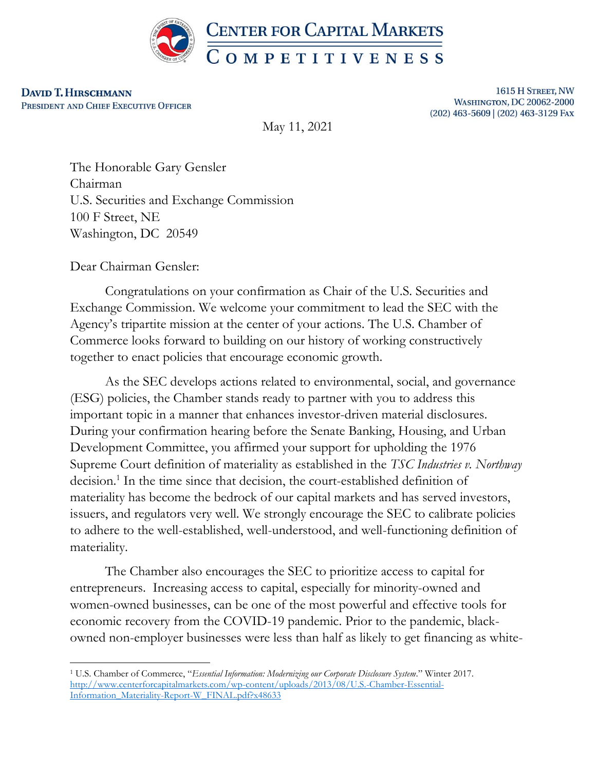

**DAVID T. HIRSCHMANN** PRESIDENT AND CHIEF EXECUTIVE OFFICER

1615 H STREET, NW **WASHINGTON, DC 20062-2000** (202) 463-5609 | (202) 463-3129 FAX

May 11, 2021

The Honorable Gary Gensler Chairman U.S. Securities and Exchange Commission 100 F Street, NE Washington, DC 20549

Dear Chairman Gensler:

Congratulations on your confirmation as Chair of the U.S. Securities and Exchange Commission. We welcome your commitment to lead the SEC with the Agency's tripartite mission at the center of your actions. The U.S. Chamber of Commerce looks forward to building on our history of working constructively together to enact policies that encourage economic growth.

As the SEC develops actions related to environmental, social, and governance (ESG) policies, the Chamber stands ready to partner with you to address this important topic in a manner that enhances investor-driven material disclosures. During your confirmation hearing before the Senate Banking, Housing, and Urban Development Committee, you affirmed your support for upholding the 1976 Supreme Court definition of materiality as established in the *TSC Industries v. Northway*  decision.<sup>1</sup> In the time since that decision, the court-established definition of materiality has become the bedrock of our capital markets and has served investors, issuers, and regulators very well. We strongly encourage the SEC to calibrate policies to adhere to the well-established, well-understood, and well-functioning definition of materiality.

The Chamber also encourages the SEC to prioritize access to capital for entrepreneurs. Increasing access to capital, especially for minority-owned and women-owned businesses, can be one of the most powerful and effective tools for economic recovery from the COVID-19 pandemic. Prior to the pandemic, blackowned non-employer businesses were less than half as likely to get financing as white-

<sup>1</sup> U.S. Chamber of Commerce, "*Essential Information: Modernizing our Corporate Disclosure System*." Winter 2017. [http://www.centerforcapitalmarkets.com/wp-content/uploads/2013/08/U.S.-Chamber-Essential-](http://www.centerforcapitalmarkets.com/wp-content/uploads/2013/08/U.S.-Chamber-Essential-Information_Materiality-Report-W_FINAL.pdf?x48633)[Information\\_Materiality-Report-W\\_FINAL.pdf?x48633](http://www.centerforcapitalmarkets.com/wp-content/uploads/2013/08/U.S.-Chamber-Essential-Information_Materiality-Report-W_FINAL.pdf?x48633)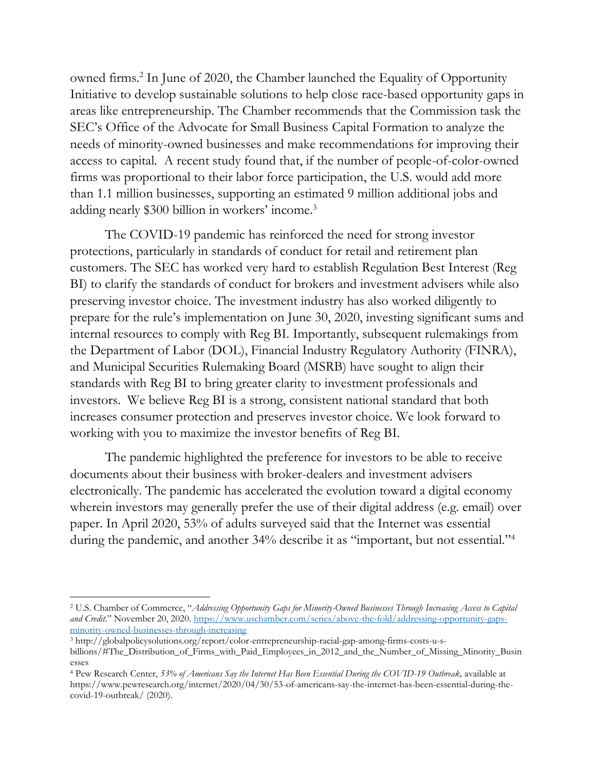owned firms.<sup>2</sup> In June of 2020, the Chamber launched the Equality of Opportunity Initiative to develop sustainable solutions to help close race-based opportunity gaps in areas like entrepreneurship. The Chamber recommends that the Commission task the SEC's Office of the Advocate for Small Business Capital Formation to analyze the needs of minority-owned businesses and make recommendations for improving their access to capital. A recent study found that, if the number of people-of-color-owned firms was proportional to their labor force participation, the U.S. would add more than 1.1 million businesses, supporting an estimated 9 million additional jobs and adding nearly \$300 billion in workers' income.<sup>3</sup>

The COVID-19 pandemic has reinforced the need for strong investor protections, particularly in standards of conduct for retail and retirement plan customers. The SEC has worked very hard to establish Regulation Best Interest (Reg BI) to clarify the standards of conduct for brokers and investment advisers while also preserving investor choice. The investment industry has also worked diligently to prepare for the rule's implementation on June 30, 2020, investing significant sums and internal resources to comply with Reg BI. Importantly, subsequent rulemakings from the Department of Labor (DOL), Financial Industry Regulatory Authority (FINRA), and Municipal Securities Rulemaking Board (MSRB) have sought to align their standards with Reg BI to bring greater clarity to investment professionals and investors. We believe Reg BI is a strong, consistent national standard that both increases consumer protection and preserves investor choice. We look forward to working with you to maximize the investor benefits of Reg BI.

The pandemic highlighted the preference for investors to be able to receive documents about their business with broker-dealers and investment advisers electronically. The pandemic has accelerated the evolution toward a digital economy wherein investors may generally prefer the use of their digital address (e.g. email) over paper. In April 2020, 53% of adults surveyed said that the Internet was essential during the pandemic, and another 34% describe it as "important, but not essential."<sup>4</sup>

<sup>2</sup> U.S. Chamber of Commerce, "*Addressing Opportunity Gaps for Minority-Owned Businesses Through Increasing Access to Capital and Credit.*" November 20, 2020. [https://www.uschamber.com/series/above-the-fold/addressing-opportunity-gaps](https://www.uschamber.com/series/above-the-fold/addressing-opportunity-gaps-minority-owned-businesses-through-increasing)[minority-owned-businesses-through-increasing](https://www.uschamber.com/series/above-the-fold/addressing-opportunity-gaps-minority-owned-businesses-through-increasing)

<sup>3</sup> http://globalpolicysolutions.org/report/color-entrepreneurship-racial-gap-among-firms-costs-u-sbillions/#The\_Distribution\_of\_Firms\_with\_Paid\_Employees\_in\_2012\_and\_the\_Number\_of\_Missing\_Minority\_Busin esses

<sup>4</sup> Pew Research Center, *53% of Americans Say the Internet Has Been Essential During the COVID-19 Outbreak,* available at https://www.pewresearch.org/internet/2020/04/30/53-of-americans-say-the-internet-has-been-essential-during-thecovid-19-outbreak/ (2020).